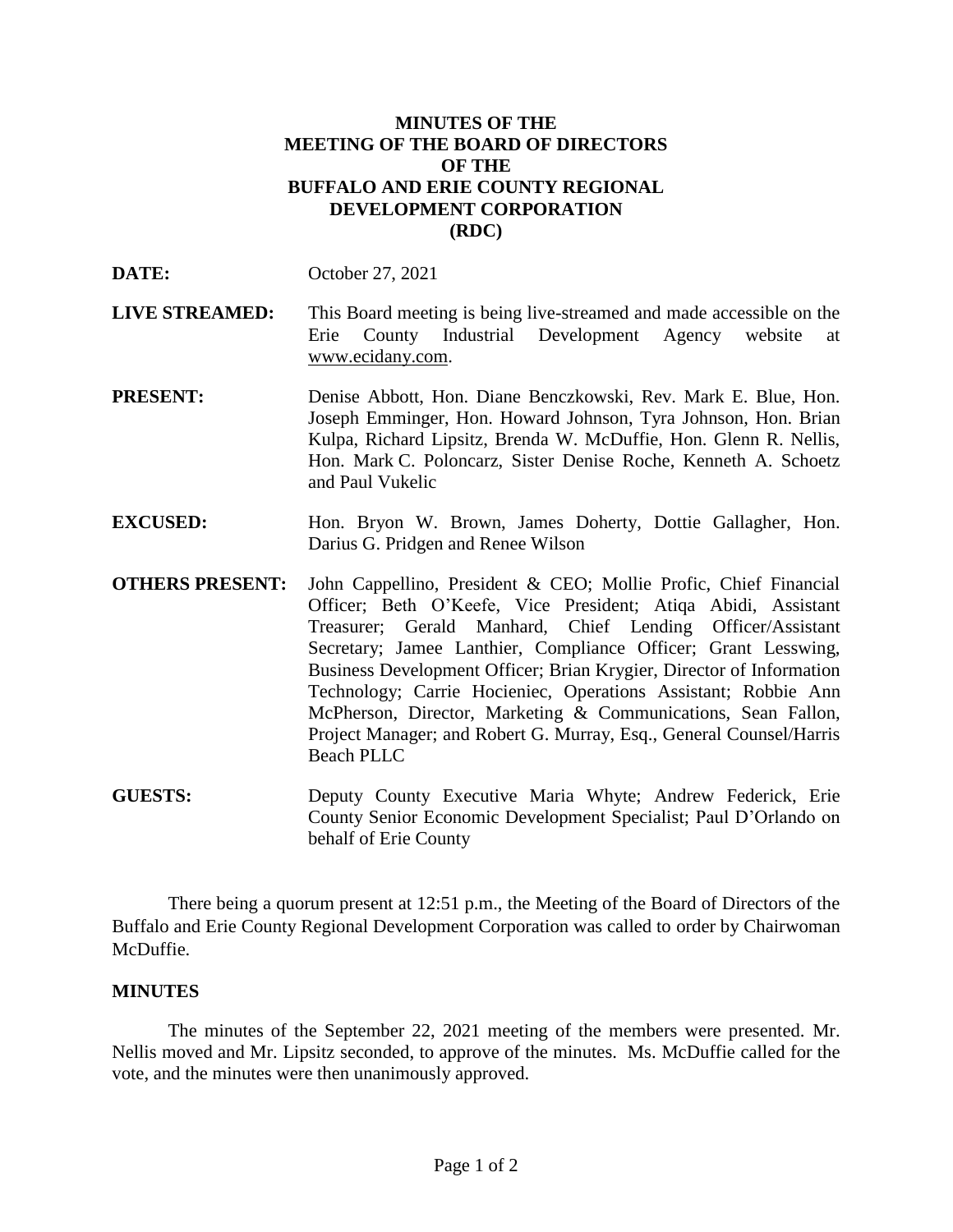## **MINUTES OF THE MEETING OF THE BOARD OF DIRECTORS OF THE BUFFALO AND ERIE COUNTY REGIONAL DEVELOPMENT CORPORATION (RDC)**

| DATE: | October 27, 2021 |  |
|-------|------------------|--|
|       |                  |  |

- **LIVE STREAMED:** This Board meeting is being live-streamed and made accessible on the Erie County Industrial Development Agency website at www.ecidany.com.
- **PRESENT:** Denise Abbott, Hon. Diane Benczkowski, Rev. Mark E. Blue, Hon. Joseph Emminger, Hon. Howard Johnson, Tyra Johnson, Hon. Brian Kulpa, Richard Lipsitz, Brenda W. McDuffie, Hon. Glenn R. Nellis, Hon. Mark C. Poloncarz, Sister Denise Roche, Kenneth A. Schoetz and Paul Vukelic
- **EXCUSED:** Hon. Bryon W. Brown, James Doherty, Dottie Gallagher, Hon. Darius G. Pridgen and Renee Wilson
- **OTHERS PRESENT:** John Cappellino, President & CEO; Mollie Profic, Chief Financial Officer; Beth O'Keefe, Vice President; Atiqa Abidi, Assistant Treasurer; Gerald Manhard, Chief Lending Officer/Assistant Secretary; Jamee Lanthier, Compliance Officer; Grant Lesswing, Business Development Officer; Brian Krygier, Director of Information Technology; Carrie Hocieniec, Operations Assistant; Robbie Ann McPherson, Director, Marketing & Communications, Sean Fallon, Project Manager; and Robert G. Murray, Esq., General Counsel/Harris Beach PLLC
- **GUESTS:** Deputy County Executive Maria Whyte; Andrew Federick, Erie County Senior Economic Development Specialist; Paul D'Orlando on behalf of Erie County

There being a quorum present at 12:51 p.m., the Meeting of the Board of Directors of the Buffalo and Erie County Regional Development Corporation was called to order by Chairwoman McDuffie.

## **MINUTES**

The minutes of the September 22, 2021 meeting of the members were presented. Mr. Nellis moved and Mr. Lipsitz seconded, to approve of the minutes. Ms. McDuffie called for the vote, and the minutes were then unanimously approved.